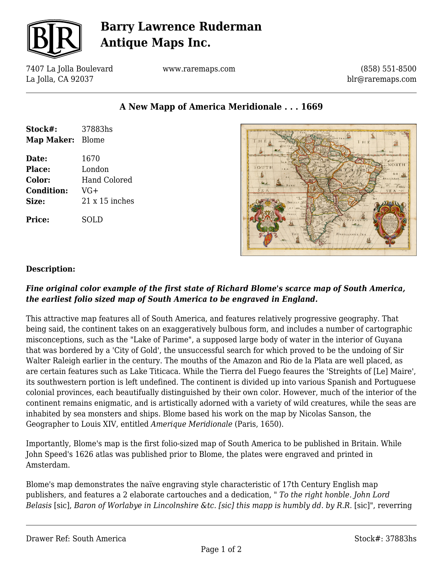

## **Barry Lawrence Ruderman Antique Maps Inc.**

7407 La Jolla Boulevard La Jolla, CA 92037

www.raremaps.com

(858) 551-8500 blr@raremaps.com

**A New Mapp of America Meridionale . . . 1669**

| Stock#:<br>Map Maker: Blome | 37883hs               |
|-----------------------------|-----------------------|
|                             |                       |
| Date:                       | 1670                  |
| <b>Place:</b>               | London                |
| Color:                      | Hand Colored          |
| <b>Condition:</b>           | $VG+$                 |
| Size:                       | $21 \times 15$ inches |
| Price:                      | SOLD                  |



#### **Description:**

#### *Fine original color example of the first state of Richard Blome's scarce map of South America, the earliest folio sized map of South America to be engraved in England.*

This attractive map features all of South America, and features relatively progressive geography. That being said, the continent takes on an exaggeratively bulbous form, and includes a number of cartographic misconceptions, such as the "Lake of Parime", a supposed large body of water in the interior of Guyana that was bordered by a 'City of Gold', the unsuccessful search for which proved to be the undoing of Sir Walter Raleigh earlier in the century. The mouths of the Amazon and Rio de la Plata are well placed, as are certain features such as Lake Titicaca. While the Tierra del Fuego feaures the 'Streights of [Le] Maire', its southwestern portion is left undefined. The continent is divided up into various Spanish and Portuguese colonial provinces, each beautifually distinguished by their own color. However, much of the interior of the continent remains enigmatic, and is artistically adorned with a variety of wild creatures, while the seas are inhabited by sea monsters and ships. Blome based his work on the map by Nicolas Sanson, the Geographer to Louis XIV, entitled *Amerique Meridionale* (Paris, 1650).

Importantly, Blome's map is the first folio-sized map of South America to be published in Britain. While John Speed's 1626 atlas was published prior to Blome, the plates were engraved and printed in Amsterdam.

Blome's map demonstrates the naïve engraving style characteristic of 17th Century English map publishers, and features a 2 elaborate cartouches and a dedication, " *To the right honble. John Lord Belasis* [sic], *Baron of Worlabye in Lincolnshire &tc. [sic] this mapp is humbly dd. by R.R.* [sic]", reverring